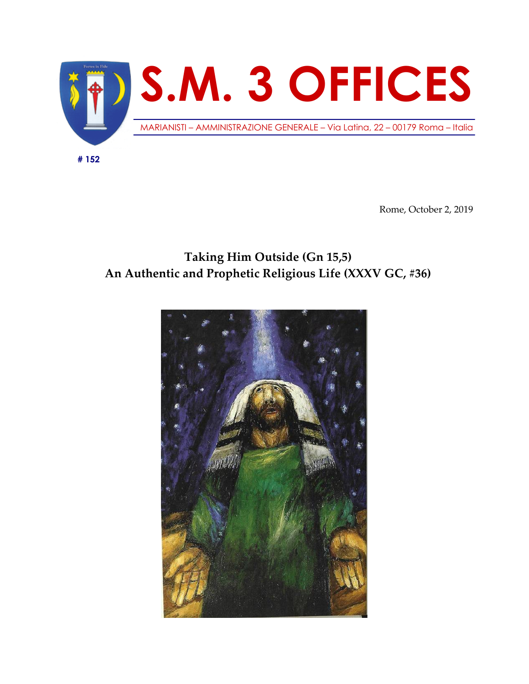

Rome, October 2, 2019

# **Taking Him Outside (Gn 15,5) An Authentic and Prophetic Religious Life (XXXV GC, #36)**

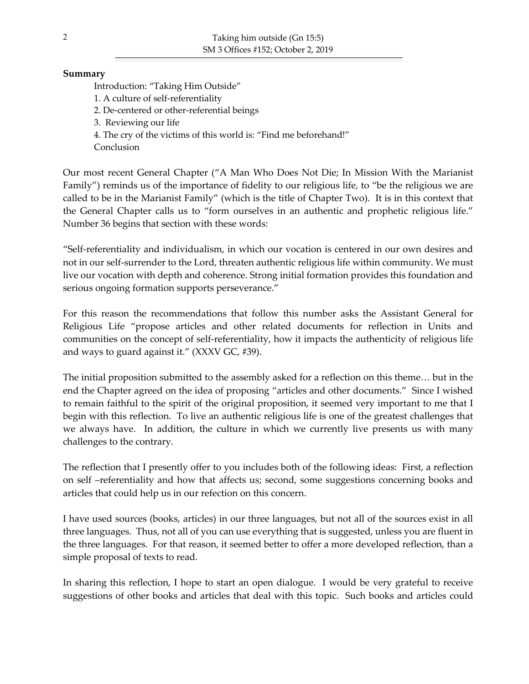#### **Summary**

Introduction: "Taking Him Outside" 1. A culture of self-referentiality 2. De-centered or other-referential beings 3. Reviewing our life 4. The cry of the victims of this world is: "Find me beforehand!" Conclusion

Our most recent General Chapter ("A Man Who Does Not Die; In Mission With the Marianist Family") reminds us of the importance of fidelity to our religious life, to "be the religious we are called to be in the Marianist Family" (which is the title of Chapter Two). It is in this context that the General Chapter calls us to "form ourselves in an authentic and prophetic religious life." Number 36 begins that section with these words:

"Self-referentiality and individualism, in which our vocation is centered in our own desires and not in our self-surrender to the Lord, threaten authentic religious life within community. We must live our vocation with depth and coherence. Strong initial formation provides this foundation and serious ongoing formation supports perseverance."

For this reason the recommendations that follow this number asks the Assistant General for Religious Life "propose articles and other related documents for reflection in Units and communities on the concept of self-referentiality, how it impacts the authenticity of religious life and ways to guard against it." (XXXV GC, #39).

The initial proposition submitted to the assembly asked for a reflection on this theme… but in the end the Chapter agreed on the idea of proposing "articles and other documents." Since I wished to remain faithful to the spirit of the original proposition, it seemed very important to me that I begin with this reflection. To live an authentic religious life is one of the greatest challenges that we always have. In addition, the culture in which we currently live presents us with many challenges to the contrary.

The reflection that I presently offer to you includes both of the following ideas: First, a reflection on self –referentiality and how that affects us; second, some suggestions concerning books and articles that could help us in our refection on this concern.

I have used sources (books, articles) in our three languages, but not all of the sources exist in all three languages. Thus, not all of you can use everything that is suggested, unless you are fluent in the three languages. For that reason, it seemed better to offer a more developed reflection, than a simple proposal of texts to read.

In sharing this reflection, I hope to start an open dialogue. I would be very grateful to receive suggestions of other books and articles that deal with this topic. Such books and articles could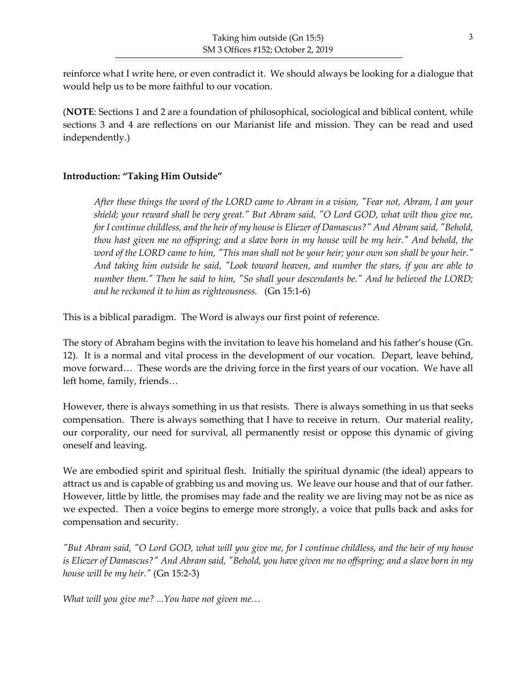reinforce what I write here, or even contradict it. We should always be looking for a dialogue that would help us to be more faithful to our vocation.

(**NOTE**: Sections 1 and 2 are a foundation of philosophical, sociological and biblical content, while sections 3 and 4 are reflections on our Marianist life and mission. They can be read and used independently.)

## **Introduction: "Taking Him Outside"**

*After these things the word of the LORD came to Abram in a vision, "Fear not, Abram, I am your shield; your reward shall be very great." But Abram said, "O Lord GOD, what wilt thou give me, for I continue childless, and the heir of my house is Eliezer of Damascus?" And Abram said, "Behold, thou hast given me no offspring; and a slave born in my house will be my heir." And behold, the word of the LORD came to him, "This man shall not be your heir; your own son shall be your heir." And taking him outside he said, "Look toward heaven, and number the stars, if you are able to number them." Then he said to him, "So shall your descendants be." And he believed the LORD; and he reckoned it to him as righteousness.* (Gn 15:1-6)

This is a biblical paradigm. The Word is always our first point of reference.

The story of Abraham begins with the invitation to leave his homeland and his father's house (Gn. 12). It is a normal and vital process in the development of our vocation. Depart, leave behind, move forward… These words are the driving force in the first years of our vocation. We have all left home, family, friends…

However, there is always something in us that resists. There is always something in us that seeks compensation. There is always something that I have to receive in return. Our material reality, our corporality, our need for survival, all permanently resist or oppose this dynamic of giving oneself and leaving.

We are embodied spirit and spiritual flesh. Initially the spiritual dynamic (the ideal) appears to attract us and is capable of grabbing us and moving us. We leave our house and that of our father. However, little by little, the promises may fade and the reality we are living may not be as nice as we expected. Then a voice begins to emerge more strongly, a voice that pulls back and asks for compensation and security.

*"But Abram said, "O Lord GOD, what will you give me, for I continue childless, and the heir of my house is Eliezer of Damascus?" And Abram said, "Behold, you have given me no offspring; and a slave born in my house will be my heir."* (Gn 15:2-3)

*What will you give me? ...You have not given me…*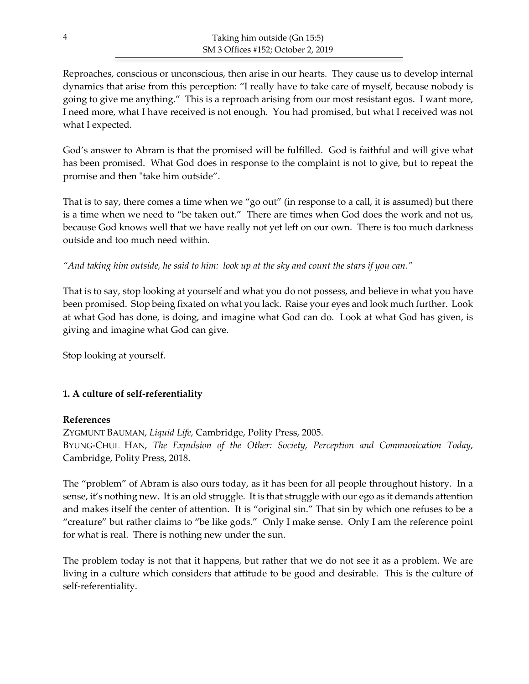Reproaches, conscious or unconscious, then arise in our hearts. They cause us to develop internal dynamics that arise from this perception: "I really have to take care of myself, because nobody is going to give me anything." This is a reproach arising from our most resistant egos. I want more, I need more, what I have received is not enough. You had promised, but what I received was not what I expected.

God's answer to Abram is that the promised will be fulfilled. God is faithful and will give what has been promised. What God does in response to the complaint is not to give, but to repeat the promise and then "take him outside".

That is to say, there comes a time when we "go out" (in response to a call, it is assumed) but there is a time when we need to "be taken out." There are times when God does the work and not us, because God knows well that we have really not yet left on our own. There is too much darkness outside and too much need within.

*"And taking him outside, he said to him: look up at the sky and count the stars if you can."*

That is to say, stop looking at yourself and what you do not possess, and believe in what you have been promised. Stop being fixated on what you lack. Raise your eyes and look much further. Look at what God has done, is doing, and imagine what God can do. Look at what God has given, is giving and imagine what God can give.

Stop looking at yourself.

## **1. A culture of self-referentiality**

#### **References**

ZYGMUNT BAUMAN, *Liquid Life,* Cambridge, Polity Press, 2005. BYUNG-CHUL HAN, *The Expulsion of the Other: Society, Perception and Communication Today*, Cambridge, Polity Press, 2018.

The "problem" of Abram is also ours today, as it has been for all people throughout history. In a sense, it's nothing new. It is an old struggle. It is that struggle with our ego as it demands attention and makes itself the center of attention. It is "original sin." That sin by which one refuses to be a "creature" but rather claims to "be like gods." Only I make sense. Only I am the reference point for what is real. There is nothing new under the sun.

The problem today is not that it happens, but rather that we do not see it as a problem. We are living in a culture which considers that attitude to be good and desirable. This is the culture of self-referentiality.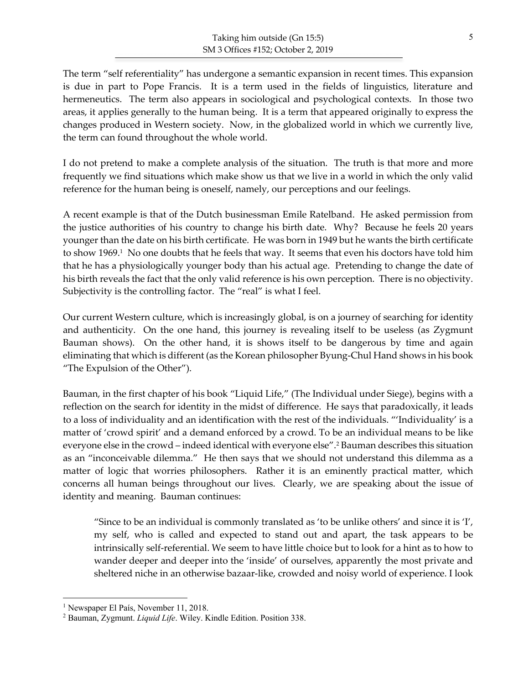The term "self referentiality" has undergone a semantic expansion in recent times. This expansion is due in part to Pope Francis. It is a term used in the fields of linguistics, literature and hermeneutics. The term also appears in sociological and psychological contexts. In those two areas, it applies generally to the human being. It is a term that appeared originally to express the changes produced in Western society. Now, in the globalized world in which we currently live, the term can found throughout the whole world.

I do not pretend to make a complete analysis of the situation. The truth is that more and more frequently we find situations which make show us that we live in a world in which the only valid reference for the human being is oneself, namely, our perceptions and our feelings.

A recent example is that of the Dutch businessman Emile Ratelband. He asked permission from the justice authorities of his country to change his birth date. Why? Because he feels 20 years younger than the date on his birth certificate. He was born in 1949 but he wants the birth certificate to show 1969.<sup>1</sup> No one doubts that he feels that way. It seems that even his doctors have told him that he has a physiologically younger body than his actual age. Pretending to change the date of his birth reveals the fact that the only valid reference is his own perception. There is no objectivity. Subjectivity is the controlling factor. The "real" is what I feel.

Our current Western culture, which is increasingly global, is on a journey of searching for identity and authenticity. On the one hand, this journey is revealing itself to be useless (as Zygmunt Bauman shows). On the other hand, it is shows itself to be dangerous by time and again eliminating that which is different (as the Korean philosopher Byung-Chul Hand shows in his book "The Expulsion of the Other").

Bauman, in the first chapter of his book "Liquid Life," (The Individual under Siege), begins with a reflection on the search for identity in the midst of difference. He says that paradoxically, it leads to a loss of individuality and an identification with the rest of the individuals. "'Individuality' is a matter of 'crowd spirit' and a demand enforced by a crowd. To be an individual means to be like everyone else in the crowd – indeed identical with everyone else".2 Bauman describes this situation as an "inconceivable dilemma." He then says that we should not understand this dilemma as a matter of logic that worries philosophers. Rather it is an eminently practical matter, which concerns all human beings throughout our lives. Clearly, we are speaking about the issue of identity and meaning. Bauman continues:

"Since to be an individual is commonly translated as 'to be unlike others' and since it is 'I', my self, who is called and expected to stand out and apart, the task appears to be intrinsically self-referential. We seem to have little choice but to look for a hint as to how to wander deeper and deeper into the 'inside' of ourselves, apparently the most private and sheltered niche in an otherwise bazaar-like, crowded and noisy world of experience. I look

<sup>1</sup> Newspaper El País, November 11, 2018.

<sup>2</sup> Bauman, Zygmunt. *Liquid Life*. Wiley. Kindle Edition. Position 338.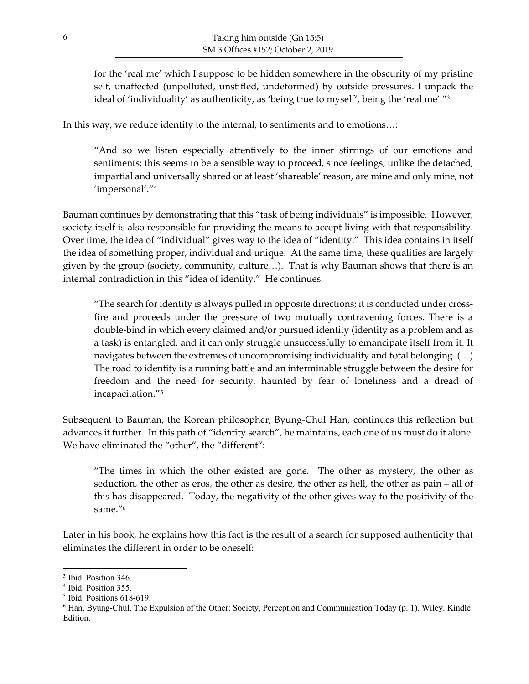for the 'real me' which I suppose to be hidden somewhere in the obscurity of my pristine self, unaffected (unpolluted, unstifled, undeformed) by outside pressures. I unpack the ideal of 'individuality' as authenticity, as 'being true to myself', being the 'real me'."<sup>3</sup>

In this way, we reduce identity to the internal, to sentiments and to emotions…:

"And so we listen especially attentively to the inner stirrings of our emotions and sentiments; this seems to be a sensible way to proceed, since feelings, unlike the detached, impartial and universally shared or at least 'shareable' reason, are mine and only mine, not 'impersonal'."4

Bauman continues by demonstrating that this "task of being individuals" is impossible. However, society itself is also responsible for providing the means to accept living with that responsibility. Over time, the idea of "individual" gives way to the idea of "identity." This idea contains in itself the idea of something proper, individual and unique. At the same time, these qualities are largely given by the group (society, community, culture…). That is why Bauman shows that there is an internal contradiction in this "idea of identity." He continues:

"The search for identity is always pulled in opposite directions; it is conducted under crossfire and proceeds under the pressure of two mutually contravening forces. There is a double-bind in which every claimed and/or pursued identity (identity as a problem and as a task) is entangled, and it can only struggle unsuccessfully to emancipate itself from it. It navigates between the extremes of uncompromising individuality and total belonging. (…) The road to identity is a running battle and an interminable struggle between the desire for freedom and the need for security, haunted by fear of loneliness and a dread of incapacitation."5

Subsequent to Bauman, the Korean philosopher, Byung-Chul Han, continues this reflection but advances it further. In this path of "identity search", he maintains, each one of us must do it alone. We have eliminated the "other", the "different":

"The times in which the other existed are gone. The other as mystery, the other as seduction, the other as eros, the other as desire, the other as hell, the other as pain – all of this has disappeared. Today, the negativity of the other gives way to the positivity of the same."6

Later in his book, he explains how this fact is the result of a search for supposed authenticity that eliminates the different in order to be oneself:

<sup>&</sup>lt;sup>3</sup> Ibid. Position 346.

<sup>4</sup> Ibid. Position 355.

<sup>5</sup> Ibid. Positions 618-619.

<sup>&</sup>lt;sup>6</sup> Han, Byung-Chul. The Expulsion of the Other: Society, Perception and Communication Today (p. 1). Wiley. Kindle Edition.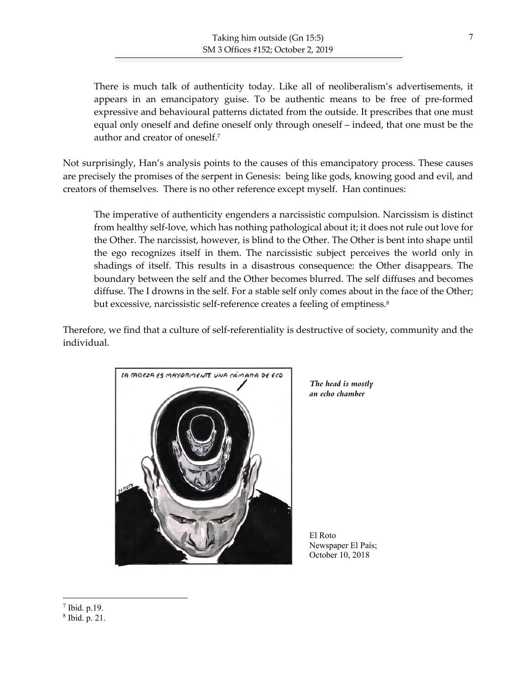There is much talk of authenticity today. Like all of neoliberalism's advertisements, it appears in an emancipatory guise. To be authentic means to be free of pre-formed expressive and behavioural patterns dictated from the outside. It prescribes that one must equal only oneself and define oneself only through oneself – indeed, that one must be the author and creator of oneself.7

Not surprisingly, Han's analysis points to the causes of this emancipatory process. These causes are precisely the promises of the serpent in Genesis: being like gods, knowing good and evil, and creators of themselves. There is no other reference except myself. Han continues:

The imperative of authenticity engenders a narcissistic compulsion. Narcissism is distinct from healthy self-love, which has nothing pathological about it; it does not rule out love for the Other. The narcissist, however, is blind to the Other. The Other is bent into shape until the ego recognizes itself in them. The narcissistic subject perceives the world only in shadings of itself. This results in a disastrous consequence: the Other disappears. The boundary between the self and the Other becomes blurred. The self diffuses and becomes diffuse. The I drowns in the self. For a stable self only comes about in the face of the Other; but excessive, narcissistic self-reference creates a feeling of emptiness.<sup>8</sup>

Therefore, we find that a culture of self-referentiality is destructive of society, community and the individual.



*The head is mostly an echo chamber*

El Roto Newspaper El País; October 10, 2018

<sup>7</sup> Ibid. p.19.

<sup>8</sup> Ibid. p. 21.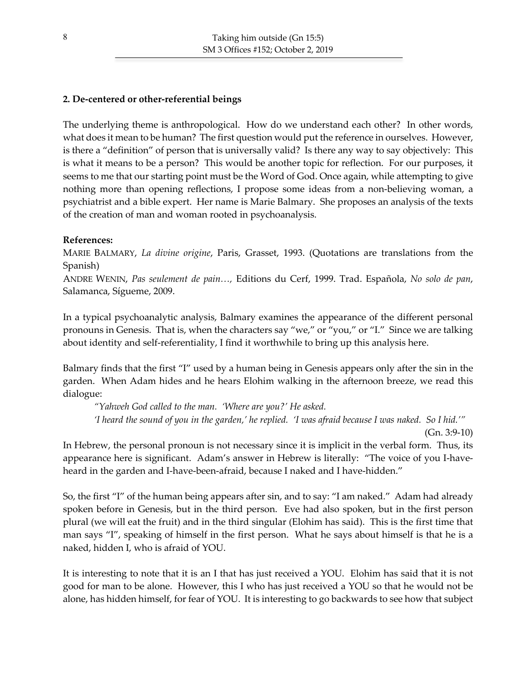## **2. De-centered or other-referential beings**

The underlying theme is anthropological. How do we understand each other? In other words, what does it mean to be human? The first question would put the reference in ourselves. However, is there a "definition" of person that is universally valid? Is there any way to say objectively: This is what it means to be a person? This would be another topic for reflection. For our purposes, it seems to me that our starting point must be the Word of God. Once again, while attempting to give nothing more than opening reflections, I propose some ideas from a non-believing woman, a psychiatrist and a bible expert. Her name is Marie Balmary. She proposes an analysis of the texts of the creation of man and woman rooted in psychoanalysis.

#### **References:**

MARIE BALMARY, *La divine origine*, Paris, Grasset, 1993. (Quotations are translations from the Spanish)

ANDRE WENIN, *Pas seulement de pain…,* Editions du Cerf, 1999. Trad. Española, *No solo de pan*, Salamanca, Sígueme, 2009.

In a typical psychoanalytic analysis, Balmary examines the appearance of the different personal pronouns in Genesis. That is, when the characters say "we," or "you," or "I." Since we are talking about identity and self-referentiality, I find it worthwhile to bring up this analysis here.

Balmary finds that the first "I" used by a human being in Genesis appears only after the sin in the garden. When Adam hides and he hears Elohim walking in the afternoon breeze, we read this dialogue:

*"Yahweh God called to the man. 'Where are you?' He asked. 'I heard the sound of you in the garden,' he replied. 'I was afraid because I was naked. So I hid.'"* (Gn. 3:9-10)

In Hebrew, the personal pronoun is not necessary since it is implicit in the verbal form. Thus, its appearance here is significant. Adam's answer in Hebrew is literally: "The voice of you I-haveheard in the garden and I-have-been-afraid, because I naked and I have-hidden."

So, the first "I" of the human being appears after sin, and to say: "I am naked." Adam had already spoken before in Genesis, but in the third person. Eve had also spoken, but in the first person plural (we will eat the fruit) and in the third singular (Elohim has said). This is the first time that man says "I", speaking of himself in the first person. What he says about himself is that he is a naked, hidden I, who is afraid of YOU.

It is interesting to note that it is an I that has just received a YOU. Elohim has said that it is not good for man to be alone. However, this I who has just received a YOU so that he would not be alone, has hidden himself, for fear of YOU. It is interesting to go backwards to see how that subject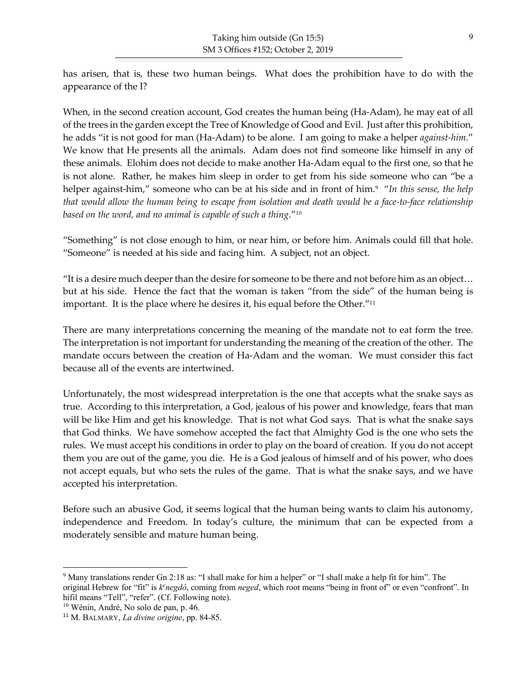has arisen, that is, these two human beings. What does the prohibition have to do with the appearance of the I?

When, in the second creation account, God creates the human being (Ha-Adam), he may eat of all of the trees in the garden except the Tree of Knowledge of Good and Evil. Just after this prohibition, he adds "it is not good for man (Ha-Adam) to be alone. I am going to make a helper *against-him*." We know that He presents all the animals. Adam does not find someone like himself in any of these animals. Elohim does not decide to make another Ha-Adam equal to the first one, so that he is not alone. Rather, he makes him sleep in order to get from his side someone who can "be a helper against-him," someone who can be at his side and in front of him.<sup>9</sup> "In this sense, the help *that would allow the human being to escape from isolation and death would be a face-to-face relationship based on the word, and no animal is capable of such a thing*."10

"Something" is not close enough to him, or near him, or before him. Animals could fill that hole. "Someone" is needed at his side and facing him. A subject, not an object.

"It is a desire much deeper than the desire for someone to be there and not before him as an object… but at his side. Hence the fact that the woman is taken "from the side" of the human being is important. It is the place where he desires it, his equal before the Other."11

There are many interpretations concerning the meaning of the mandate not to eat form the tree. The interpretation is not important for understanding the meaning of the creation of the other. The mandate occurs between the creation of Ha-Adam and the woman. We must consider this fact because all of the events are intertwined.

Unfortunately, the most widespread interpretation is the one that accepts what the snake says as true. According to this interpretation, a God, jealous of his power and knowledge, fears that man will be like Him and get his knowledge. That is not what God says. That is what the snake says that God thinks. We have somehow accepted the fact that Almighty God is the one who sets the rules. We must accept his conditions in order to play on the board of creation. If you do not accept them you are out of the game, you die. He is a God jealous of himself and of his power, who does not accept equals, but who sets the rules of the game. That is what the snake says, and we have accepted his interpretation.

Before such an abusive God, it seems logical that the human being wants to claim his autonomy, independence and Freedom. In today's culture, the minimum that can be expected from a moderately sensible and mature human being.

<sup>&</sup>lt;sup>9</sup> Many translations render Gn 2:18 as: "I shall make for him a helper" or "I shall make a help fit for him". The original Hebrew for "fit" is *ke negdô*, coming from *neged*, which root means "being in front of" or even "confront". In hifil means "Tell", "refer". (Cf. Following note).

<sup>&</sup>lt;sup>10</sup> Wénin, André, No solo de pan, p. 46.

<sup>11</sup> M. BALMARY, *La divine origine*, pp. 84-85.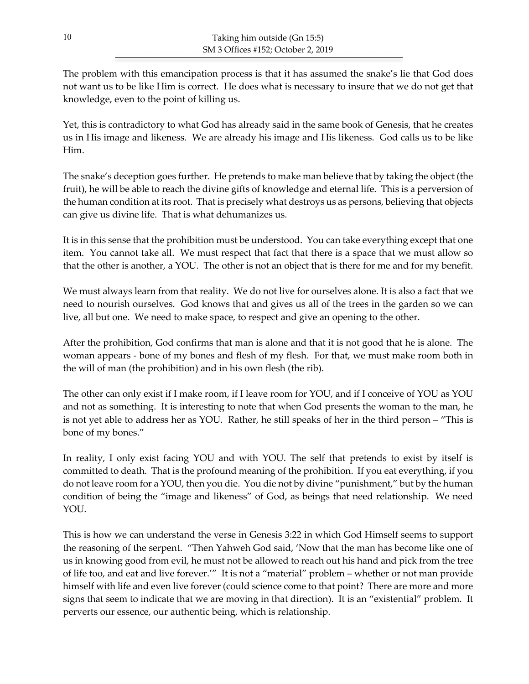The problem with this emancipation process is that it has assumed the snake's lie that God does not want us to be like Him is correct. He does what is necessary to insure that we do not get that knowledge, even to the point of killing us.

Yet, this is contradictory to what God has already said in the same book of Genesis, that he creates us in His image and likeness. We are already his image and His likeness. God calls us to be like Him.

The snake's deception goes further. He pretends to make man believe that by taking the object (the fruit), he will be able to reach the divine gifts of knowledge and eternal life. This is a perversion of the human condition at its root. That is precisely what destroys us as persons, believing that objects can give us divine life. That is what dehumanizes us.

It is in this sense that the prohibition must be understood. You can take everything except that one item. You cannot take all. We must respect that fact that there is a space that we must allow so that the other is another, a YOU. The other is not an object that is there for me and for my benefit.

We must always learn from that reality. We do not live for ourselves alone. It is also a fact that we need to nourish ourselves. God knows that and gives us all of the trees in the garden so we can live, all but one. We need to make space, to respect and give an opening to the other.

After the prohibition, God confirms that man is alone and that it is not good that he is alone. The woman appears - bone of my bones and flesh of my flesh. For that, we must make room both in the will of man (the prohibition) and in his own flesh (the rib).

The other can only exist if I make room, if I leave room for YOU, and if I conceive of YOU as YOU and not as something. It is interesting to note that when God presents the woman to the man, he is not yet able to address her as YOU. Rather, he still speaks of her in the third person – "This is bone of my bones."

In reality, I only exist facing YOU and with YOU. The self that pretends to exist by itself is committed to death. That is the profound meaning of the prohibition. If you eat everything, if you do not leave room for a YOU, then you die. You die not by divine "punishment," but by the human condition of being the "image and likeness" of God, as beings that need relationship. We need YOU.

This is how we can understand the verse in Genesis 3:22 in which God Himself seems to support the reasoning of the serpent. "Then Yahweh God said, 'Now that the man has become like one of us in knowing good from evil, he must not be allowed to reach out his hand and pick from the tree of life too, and eat and live forever.'" It is not a "material" problem – whether or not man provide himself with life and even live forever (could science come to that point? There are more and more signs that seem to indicate that we are moving in that direction). It is an "existential" problem. It perverts our essence, our authentic being, which is relationship.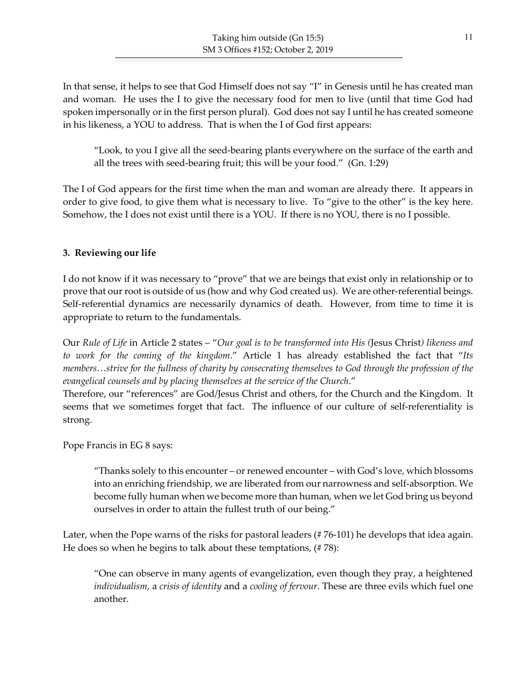In that sense, it helps to see that God Himself does not say "I" in Genesis until he has created man and woman. He uses the I to give the necessary food for men to live (until that time God had spoken impersonally or in the first person plural). God does not say I until he has created someone in his likeness, a YOU to address. That is when the I of God first appears:

"Look, to you I give all the seed-bearing plants everywhere on the surface of the earth and all the trees with seed-bearing fruit; this will be your food." (Gn. 1:29)

The I of God appears for the first time when the man and woman are already there. It appears in order to give food, to give them what is necessary to live. To "give to the other" is the key here. Somehow, the I does not exist until there is a YOU. If there is no YOU, there is no I possible.

## **3. Reviewing our life**

I do not know if it was necessary to "prove" that we are beings that exist only in relationship or to prove that our root is outside of us (how and why God created us). We are other-referential beings. Self-referential dynamics are necessarily dynamics of death. However, from time to time it is appropriate to return to the fundamentals.

Our *Rule of Life* in Article 2 states – "*Our goal is to be transformed into His (*Jesus Christ*) likeness and to work for the coming of the kingdom*." Article 1 has already established the fact that "*Its members…strive for the fullness of charity by consecrating themselves to God through the profession of the evangelical counsels and by placing themselves at the service of the Church*."

Therefore, our "references" are God/Jesus Christ and others, for the Church and the Kingdom. It seems that we sometimes forget that fact. The influence of our culture of self-referentiality is strong.

Pope Francis in EG 8 says:

"Thanks solely to this encounter – or renewed encounter – with God's love, which blossoms into an enriching friendship, we are liberated from our narrowness and self-absorption. We become fully human when we become more than human, when we let God bring us beyond ourselves in order to attain the fullest truth of our being."

Later, when the Pope warns of the risks for pastoral leaders (# 76-101) he develops that idea again. He does so when he begins to talk about these temptations, (# 78):

"One can observe in many agents of evangelization, even though they pray, a heightened *individualism*, a *crisis of identity* and a *cooling of fervour*. These are three evils which fuel one another.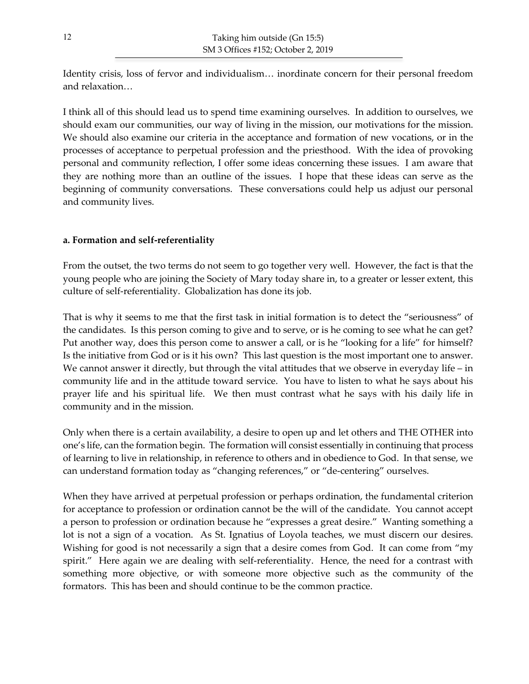Identity crisis, loss of fervor and individualism… inordinate concern for their personal freedom and relaxation…

I think all of this should lead us to spend time examining ourselves. In addition to ourselves, we should exam our communities, our way of living in the mission, our motivations for the mission. We should also examine our criteria in the acceptance and formation of new vocations, or in the processes of acceptance to perpetual profession and the priesthood. With the idea of provoking personal and community reflection, I offer some ideas concerning these issues. I am aware that they are nothing more than an outline of the issues. I hope that these ideas can serve as the beginning of community conversations. These conversations could help us adjust our personal and community lives.

#### **a. Formation and self-referentiality**

From the outset, the two terms do not seem to go together very well. However, the fact is that the young people who are joining the Society of Mary today share in, to a greater or lesser extent, this culture of self-referentiality. Globalization has done its job.

That is why it seems to me that the first task in initial formation is to detect the "seriousness" of the candidates. Is this person coming to give and to serve, or is he coming to see what he can get? Put another way, does this person come to answer a call, or is he "looking for a life" for himself? Is the initiative from God or is it his own? This last question is the most important one to answer. We cannot answer it directly, but through the vital attitudes that we observe in everyday life – in community life and in the attitude toward service. You have to listen to what he says about his prayer life and his spiritual life. We then must contrast what he says with his daily life in community and in the mission.

Only when there is a certain availability, a desire to open up and let others and THE OTHER into one's life, can the formation begin. The formation will consist essentially in continuing that process of learning to live in relationship, in reference to others and in obedience to God. In that sense, we can understand formation today as "changing references," or "de-centering" ourselves.

When they have arrived at perpetual profession or perhaps ordination, the fundamental criterion for acceptance to profession or ordination cannot be the will of the candidate. You cannot accept a person to profession or ordination because he "expresses a great desire." Wanting something a lot is not a sign of a vocation. As St. Ignatius of Loyola teaches, we must discern our desires. Wishing for good is not necessarily a sign that a desire comes from God. It can come from "my spirit." Here again we are dealing with self-referentiality. Hence, the need for a contrast with something more objective, or with someone more objective such as the community of the formators. This has been and should continue to be the common practice.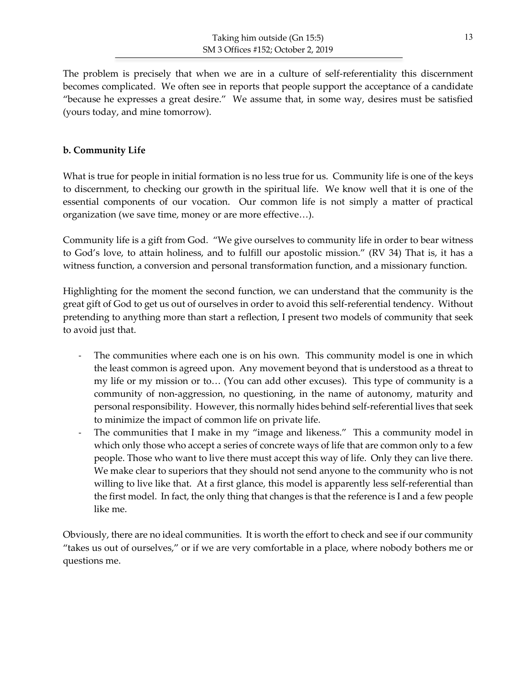The problem is precisely that when we are in a culture of self-referentiality this discernment becomes complicated. We often see in reports that people support the acceptance of a candidate "because he expresses a great desire." We assume that, in some way, desires must be satisfied (yours today, and mine tomorrow).

## **b. Community Life**

What is true for people in initial formation is no less true for us. Community life is one of the keys to discernment, to checking our growth in the spiritual life. We know well that it is one of the essential components of our vocation. Our common life is not simply a matter of practical organization (we save time, money or are more effective…).

Community life is a gift from God. "We give ourselves to community life in order to bear witness to God's love, to attain holiness, and to fulfill our apostolic mission." (RV 34) That is, it has a witness function, a conversion and personal transformation function, and a missionary function.

Highlighting for the moment the second function, we can understand that the community is the great gift of God to get us out of ourselves in order to avoid this self-referential tendency. Without pretending to anything more than start a reflection, I present two models of community that seek to avoid just that.

- The communities where each one is on his own. This community model is one in which the least common is agreed upon. Any movement beyond that is understood as a threat to my life or my mission or to… (You can add other excuses). This type of community is a community of non-aggression, no questioning, in the name of autonomy, maturity and personal responsibility. However, this normally hides behind self-referential lives that seek to minimize the impact of common life on private life.
- The communities that I make in my "image and likeness." This a community model in which only those who accept a series of concrete ways of life that are common only to a few people. Those who want to live there must accept this way of life. Only they can live there. We make clear to superiors that they should not send anyone to the community who is not willing to live like that. At a first glance, this model is apparently less self-referential than the first model. In fact, the only thing that changes is that the reference is I and a few people like me.

Obviously, there are no ideal communities. It is worth the effort to check and see if our community "takes us out of ourselves," or if we are very comfortable in a place, where nobody bothers me or questions me.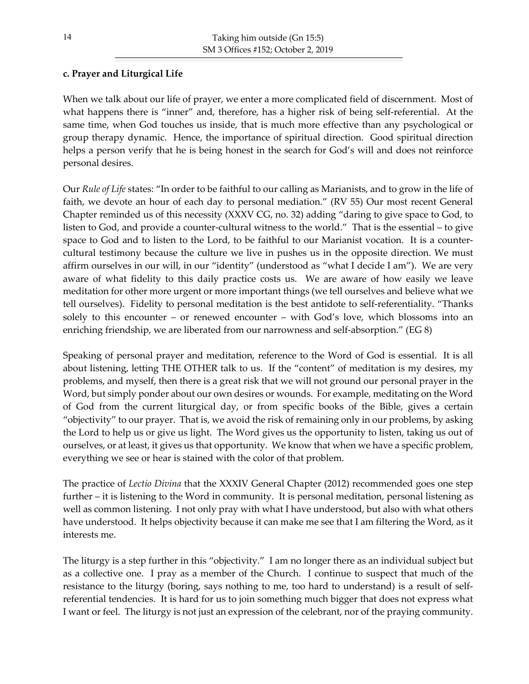## **c. Prayer and Liturgical Life**

When we talk about our life of prayer, we enter a more complicated field of discernment. Most of what happens there is "inner" and, therefore, has a higher risk of being self-referential. At the same time, when God touches us inside, that is much more effective than any psychological or group therapy dynamic. Hence, the importance of spiritual direction. Good spiritual direction helps a person verify that he is being honest in the search for God's will and does not reinforce personal desires.

Our *Rule of Life* states: "In order to be faithful to our calling as Marianists, and to grow in the life of faith, we devote an hour of each day to personal mediation." (RV 55) Our most recent General Chapter reminded us of this necessity (XXXV CG, no. 32) adding "daring to give space to God, to listen to God, and provide a counter-cultural witness to the world." That is the essential – to give space to God and to listen to the Lord, to be faithful to our Marianist vocation. It is a countercultural testimony because the culture we live in pushes us in the opposite direction. We must affirm ourselves in our will, in our "identity" (understood as "what I decide I am"). We are very aware of what fidelity to this daily practice costs us. We are aware of how easily we leave meditation for other more urgent or more important things (we tell ourselves and believe what we tell ourselves). Fidelity to personal meditation is the best antidote to self-referentiality. "Thanks solely to this encounter – or renewed encounter – with God's love, which blossoms into an enriching friendship, we are liberated from our narrowness and self-absorption." (EG 8)

Speaking of personal prayer and meditation, reference to the Word of God is essential. It is all about listening, letting THE OTHER talk to us. If the "content" of meditation is my desires, my problems, and myself, then there is a great risk that we will not ground our personal prayer in the Word, but simply ponder about our own desires or wounds. For example, meditating on the Word of God from the current liturgical day, or from specific books of the Bible, gives a certain "objectivity" to our prayer. That is, we avoid the risk of remaining only in our problems, by asking the Lord to help us or give us light. The Word gives us the opportunity to listen, taking us out of ourselves, or at least, it gives us that opportunity. We know that when we have a specific problem, everything we see or hear is stained with the color of that problem.

The practice of *Lectio Divina* that the XXXIV General Chapter (2012) recommended goes one step further – it is listening to the Word in community. It is personal meditation, personal listening as well as common listening. I not only pray with what I have understood, but also with what others have understood. It helps objectivity because it can make me see that I am filtering the Word, as it interests me.

The liturgy is a step further in this "objectivity." I am no longer there as an individual subject but as a collective one. I pray as a member of the Church. I continue to suspect that much of the resistance to the liturgy (boring, says nothing to me, too hard to understand) is a result of selfreferential tendencies. It is hard for us to join something much bigger that does not express what I want or feel. The liturgy is not just an expression of the celebrant, nor of the praying community.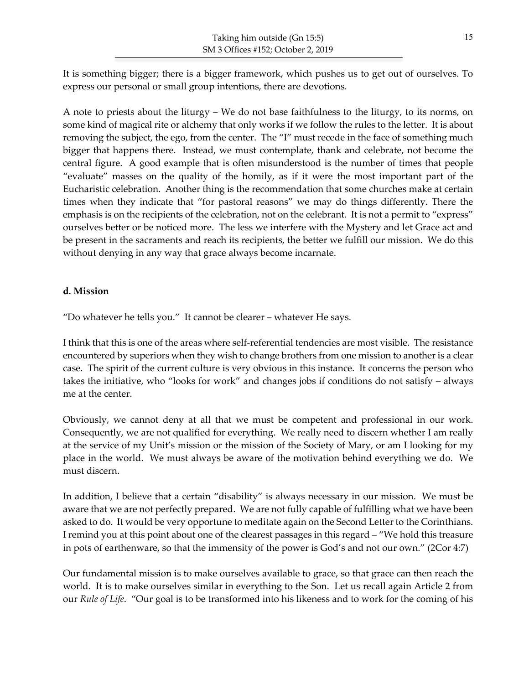It is something bigger; there is a bigger framework, which pushes us to get out of ourselves. To express our personal or small group intentions, there are devotions.

A note to priests about the liturgy – We do not base faithfulness to the liturgy, to its norms, on some kind of magical rite or alchemy that only works if we follow the rules to the letter. It is about removing the subject, the ego, from the center. The "I" must recede in the face of something much bigger that happens there. Instead, we must contemplate, thank and celebrate, not become the central figure. A good example that is often misunderstood is the number of times that people "evaluate" masses on the quality of the homily, as if it were the most important part of the Eucharistic celebration. Another thing is the recommendation that some churches make at certain times when they indicate that "for pastoral reasons" we may do things differently. There the emphasis is on the recipients of the celebration, not on the celebrant. It is not a permit to "express" ourselves better or be noticed more. The less we interfere with the Mystery and let Grace act and be present in the sacraments and reach its recipients, the better we fulfill our mission. We do this without denying in any way that grace always become incarnate.

#### **d. Mission**

"Do whatever he tells you." It cannot be clearer – whatever He says.

I think that this is one of the areas where self-referential tendencies are most visible. The resistance encountered by superiors when they wish to change brothers from one mission to another is a clear case. The spirit of the current culture is very obvious in this instance. It concerns the person who takes the initiative, who "looks for work" and changes jobs if conditions do not satisfy – always me at the center.

Obviously, we cannot deny at all that we must be competent and professional in our work. Consequently, we are not qualified for everything. We really need to discern whether I am really at the service of my Unit's mission or the mission of the Society of Mary, or am I looking for my place in the world. We must always be aware of the motivation behind everything we do. We must discern.

In addition, I believe that a certain "disability" is always necessary in our mission. We must be aware that we are not perfectly prepared. We are not fully capable of fulfilling what we have been asked to do. It would be very opportune to meditate again on the Second Letter to the Corinthians. I remind you at this point about one of the clearest passages in this regard – "We hold this treasure in pots of earthenware, so that the immensity of the power is God's and not our own." (2Cor 4:7)

Our fundamental mission is to make ourselves available to grace, so that grace can then reach the world. It is to make ourselves similar in everything to the Son. Let us recall again Article 2 from our *Rule of Life*. "Our goal is to be transformed into his likeness and to work for the coming of his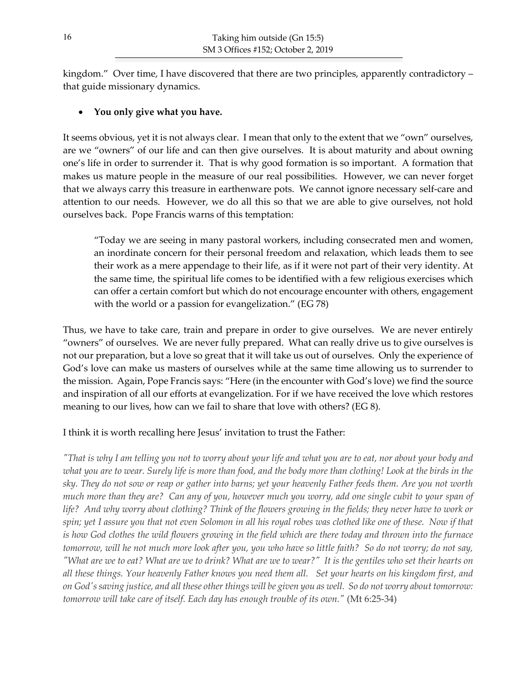kingdom." Over time, I have discovered that there are two principles, apparently contradictory that guide missionary dynamics.

### • **You only give what you have.**

It seems obvious, yet it is not always clear. I mean that only to the extent that we "own" ourselves, are we "owners" of our life and can then give ourselves. It is about maturity and about owning one's life in order to surrender it. That is why good formation is so important. A formation that makes us mature people in the measure of our real possibilities. However, we can never forget that we always carry this treasure in earthenware pots. We cannot ignore necessary self-care and attention to our needs. However, we do all this so that we are able to give ourselves, not hold ourselves back. Pope Francis warns of this temptation:

"Today we are seeing in many pastoral workers, including consecrated men and women, an inordinate concern for their personal freedom and relaxation, which leads them to see their work as a mere appendage to their life, as if it were not part of their very identity. At the same time, the spiritual life comes to be identified with a few religious exercises which can offer a certain comfort but which do not encourage encounter with others, engagement with the world or a passion for evangelization." (EG 78)

Thus, we have to take care, train and prepare in order to give ourselves. We are never entirely "owners" of ourselves. We are never fully prepared. What can really drive us to give ourselves is not our preparation, but a love so great that it will take us out of ourselves. Only the experience of God's love can make us masters of ourselves while at the same time allowing us to surrender to the mission. Again, Pope Francis says: "Here (in the encounter with God's love) we find the source and inspiration of all our efforts at evangelization. For if we have received the love which restores meaning to our lives, how can we fail to share that love with others? (EG 8).

I think it is worth recalling here Jesus' invitation to trust the Father:

*"That is why I am telling you not to worry about your life and what you are to eat, nor about your body and what you are to wear. Surely life is more than food, and the body more than clothing! Look at the birds in the sky. They do not sow or reap or gather into barns; yet your heavenly Father feeds them. Are you not worth much more than they are? Can any of you, however much you worry, add one single cubit to your span of life? And why worry about clothing? Think of the flowers growing in the fields; they never have to work or spin; yet I assure you that not even Solomon in all his royal robes was clothed like one of these. Now if that is how God clothes the wild flowers growing in the field which are there today and thrown into the furnace tomorrow, will he not much more look after you, you who have so little faith? So do not worry; do not say, "What are we to eat? What are we to drink? What are we to wear?" It is the gentiles who set their hearts on all these things. Your heavenly Father knows you need them all. Set your hearts on his kingdom first, and on God's saving justice, and all these other things will be given you as well. So do not worry about tomorrow: tomorrow will take care of itself. Each day has enough trouble of its own."* (Mt 6:25-34)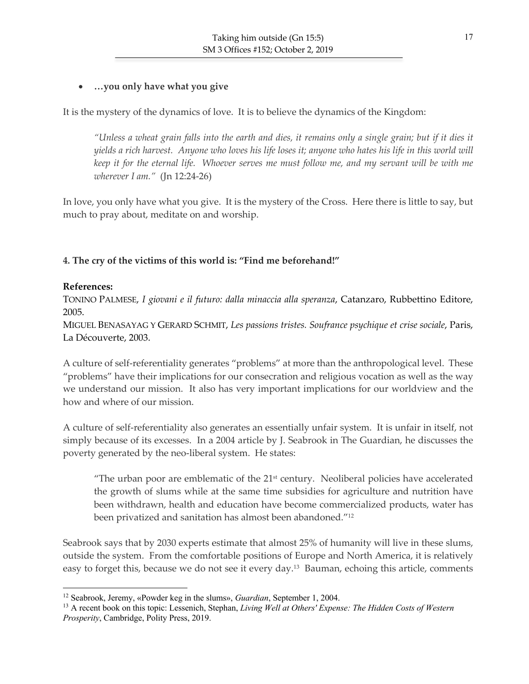## • **…you only have what you give**

It is the mystery of the dynamics of love. It is to believe the dynamics of the Kingdom:

*"Unless a wheat grain falls into the earth and dies, it remains only a single grain; but if it dies it yields a rich harvest. Anyone who loves his life loses it; anyone who hates his life in this world will keep it for the eternal life. Whoever serves me must follow me, and my servant will be with me wherever I am."* (Jn 12:24-26)

In love, you only have what you give. It is the mystery of the Cross. Here there is little to say, but much to pray about, meditate on and worship.

## **4. The cry of the victims of this world is: "Find me beforehand!"**

#### **References:**

TONINO PALMESE, *I giovani e il futuro: dalla minaccia alla speranza*, Catanzaro, Rubbettino Editore, 2005.

MIGUEL BENASAYAG Y GERARD SCHMIT, *Les passions tristes. Soufrance psychique et crise sociale*, Paris, La Découverte, 2003.

A culture of self-referentiality generates "problems" at more than the anthropological level. These "problems" have their implications for our consecration and religious vocation as well as the way we understand our mission. It also has very important implications for our worldview and the how and where of our mission.

A culture of self-referentiality also generates an essentially unfair system. It is unfair in itself, not simply because of its excesses. In a 2004 article by J. Seabrook in The Guardian, he discusses the poverty generated by the neo-liberal system. He states:

"The urban poor are emblematic of the  $21<sup>st</sup>$  century. Neoliberal policies have accelerated the growth of slums while at the same time subsidies for agriculture and nutrition have been withdrawn, health and education have become commercialized products, water has been privatized and sanitation has almost been abandoned."12

Seabrook says that by 2030 experts estimate that almost 25% of humanity will live in these slums, outside the system. From the comfortable positions of Europe and North America, it is relatively easy to forget this, because we do not see it every day.13 Bauman, echoing this article, comments

<sup>12</sup> Seabrook, Jeremy, «Powder keg in the slums», *Guardian*, September 1, 2004.

<sup>&</sup>lt;sup>13</sup> A recent book on this topic: Lessenich, Stephan, *Living Well at Others' Expense: The Hidden Costs of Western Prosperity*, Cambridge, Polity Press, 2019.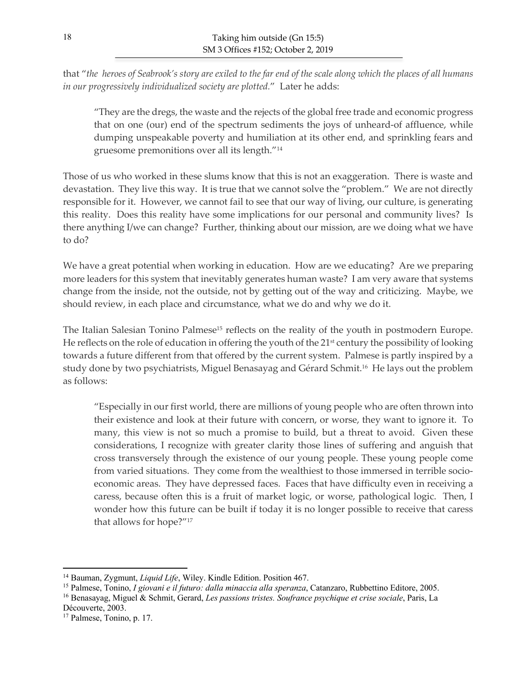that "*the heroes of Seabrook's story are exiled to the far end of the scale along which the places of all humans in our progressively individualized society are plotted.*" Later he adds:

"They are the dregs, the waste and the rejects of the global free trade and economic progress that on one (our) end of the spectrum sediments the joys of unheard-of affluence, while dumping unspeakable poverty and humiliation at its other end, and sprinkling fears and gruesome premonitions over all its length."14

Those of us who worked in these slums know that this is not an exaggeration. There is waste and devastation. They live this way. It is true that we cannot solve the "problem." We are not directly responsible for it. However, we cannot fail to see that our way of living, our culture, is generating this reality. Does this reality have some implications for our personal and community lives? Is there anything I/we can change? Further, thinking about our mission, are we doing what we have to do?

We have a great potential when working in education. How are we educating? Are we preparing more leaders for this system that inevitably generates human waste? I am very aware that systems change from the inside, not the outside, not by getting out of the way and criticizing. Maybe, we should review, in each place and circumstance, what we do and why we do it.

The Italian Salesian Tonino Palmese<sup>15</sup> reflects on the reality of the youth in postmodern Europe. He reflects on the role of education in offering the youth of the 21<sup>st</sup> century the possibility of looking towards a future different from that offered by the current system. Palmese is partly inspired by a study done by two psychiatrists, Miguel Benasayag and Gérard Schmit.16 He lays out the problem as follows:

"Especially in our first world, there are millions of young people who are often thrown into their existence and look at their future with concern, or worse, they want to ignore it. To many, this view is not so much a promise to build, but a threat to avoid. Given these considerations, I recognize with greater clarity those lines of suffering and anguish that cross transversely through the existence of our young people. These young people come from varied situations. They come from the wealthiest to those immersed in terrible socioeconomic areas. They have depressed faces. Faces that have difficulty even in receiving a caress, because often this is a fruit of market logic, or worse, pathological logic. Then, I wonder how this future can be built if today it is no longer possible to receive that caress that allows for hope?"17

<sup>&</sup>lt;sup>14</sup> Bauman, Zygmunt, *Liquid Life*, Wiley. Kindle Edition. Position 467.

<sup>15</sup> Palmese, Tonino, *I giovani e il futuro: dalla minaccia alla speranza*, Catanzaro, Rubbettino Editore, 2005.

<sup>16</sup> Benasayag, Miguel & Schmit, Gerard, *Les passions tristes. Soufrance psychique et crise sociale*, Paris, La Découverte, 2003.

<sup>&</sup>lt;sup>17</sup> Palmese, Tonino, p. 17.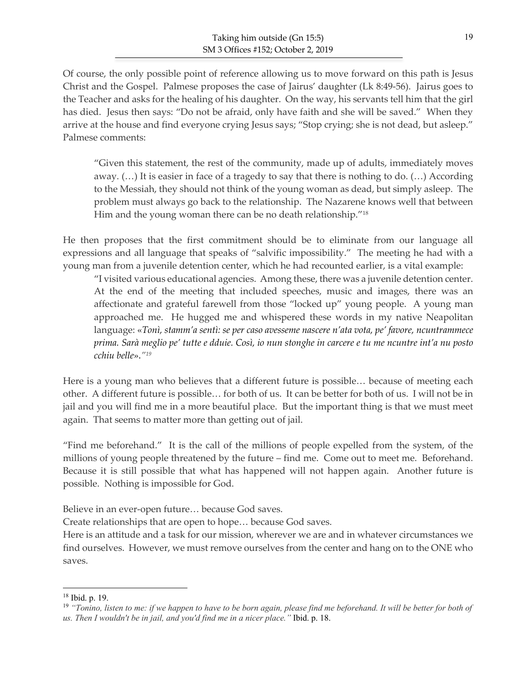Of course, the only possible point of reference allowing us to move forward on this path is Jesus Christ and the Gospel. Palmese proposes the case of Jairus' daughter (Lk 8:49-56). Jairus goes to the Teacher and asks for the healing of his daughter. On the way, his servants tell him that the girl has died. Jesus then says: "Do not be afraid, only have faith and she will be saved." When they arrive at the house and find everyone crying Jesus says; "Stop crying; she is not dead, but asleep." Palmese comments:

"Given this statement, the rest of the community, made up of adults, immediately moves away. (…) It is easier in face of a tragedy to say that there is nothing to do. (…) According to the Messiah, they should not think of the young woman as dead, but simply asleep. The problem must always go back to the relationship. The Nazarene knows well that between Him and the young woman there can be no death relationship."18

He then proposes that the first commitment should be to eliminate from our language all expressions and all language that speaks of "salvific impossibility." The meeting he had with a young man from a juvenile detention center, which he had recounted earlier, is a vital example:

"I visited various educational agencies. Among these, there was a juvenile detention center. At the end of the meeting that included speeches, music and images, there was an affectionate and grateful farewell from those "locked up" young people. A young man approached me. He hugged me and whispered these words in my native Neapolitan language: «*Tonì, stamm'a sentì: se per caso avesseme nascere n'ata vota, pe' favore, ncuntrammece prima. Sarà meglio pe' tutte e dduie. Così, io nun stonghe in carcere e tu me ncuntre int'a nu posto cchiu belle*».*"19*

Here is a young man who believes that a different future is possible… because of meeting each other. A different future is possible… for both of us. It can be better for both of us. I will not be in jail and you will find me in a more beautiful place. But the important thing is that we must meet again. That seems to matter more than getting out of jail.

"Find me beforehand." It is the call of the millions of people expelled from the system, of the millions of young people threatened by the future – find me. Come out to meet me. Beforehand. Because it is still possible that what has happened will not happen again. Another future is possible. Nothing is impossible for God.

Believe in an ever-open future… because God saves.

Create relationships that are open to hope… because God saves.

Here is an attitude and a task for our mission, wherever we are and in whatever circumstances we find ourselves. However, we must remove ourselves from the center and hang on to the ONE who saves.

<sup>18</sup> Ibid. p. 19.

<sup>19</sup> *"Tonino, listen to me: if we happen to have to be born again, please find me beforehand. It will be better for both of us. Then I wouldn't be in jail, and you'd find me in a nicer place."* Ibid. p. 18.